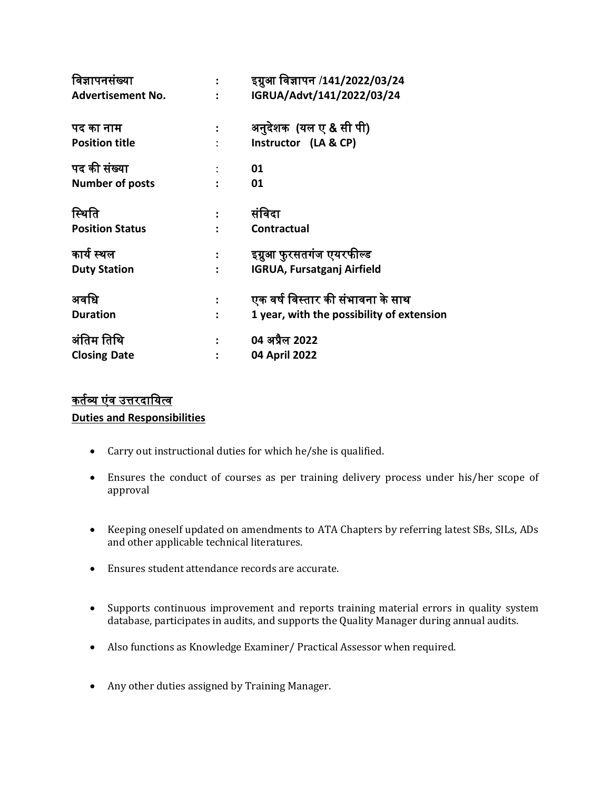| विज्ञापनसंख्या           |                      | इग्नुआ विज्ञापन /141/2022/03/24           |
|--------------------------|----------------------|-------------------------------------------|
| <b>Advertisement No.</b> |                      | IGRUA/Advt/141/2022/03/24                 |
| पद का नाम                |                      | अनुदेशक (यल ए & सी पी)                    |
| <b>Position title</b>    | $\ddot{\cdot}$       | Instructor (LA & CP)                      |
| पद की संख्या             |                      | 01                                        |
| <b>Number of posts</b>   |                      | 01                                        |
| स्थिति                   |                      | संविदा                                    |
| <b>Position Status</b>   |                      | Contractual                               |
| कार्य स्थल               | $\ddot{\phantom{a}}$ | इग्नुआ फुरसतगंज एयरफील्ड                  |
| <b>Duty Station</b>      |                      | <b>IGRUA, Fursatganj Airfield</b>         |
| अवधि                     |                      | एक वर्ष विस्तार की संभावना के साथ         |
| <b>Duration</b>          |                      | 1 year, with the possibility of extension |
| अंतिम तिथि               |                      | 04 अप्रैल 2022                            |
| <b>Closing Date</b>      |                      | 04 April 2022                             |

## कर्तव्य एंव उत्तरदायित्व

**Duties and Responsibilities** 

- Carry out instructional duties for which he/she is qualified.
- Ensures the conduct of courses as per training delivery process under his/her scope of approval
- Keeping oneself updated on amendments to ATA Chapters by referring latest SBs, SILs, ADs and other applicable technical literatures.
- Ensures student attendance records are accurate.
- Supports continuous improvement and reports training material errors in quality system database, participates in audits, and supports the Quality Manager during annual audits.
- Also functions as Knowledge Examiner/ Practical Assessor when required.
- Any other duties assigned by Training Manager.